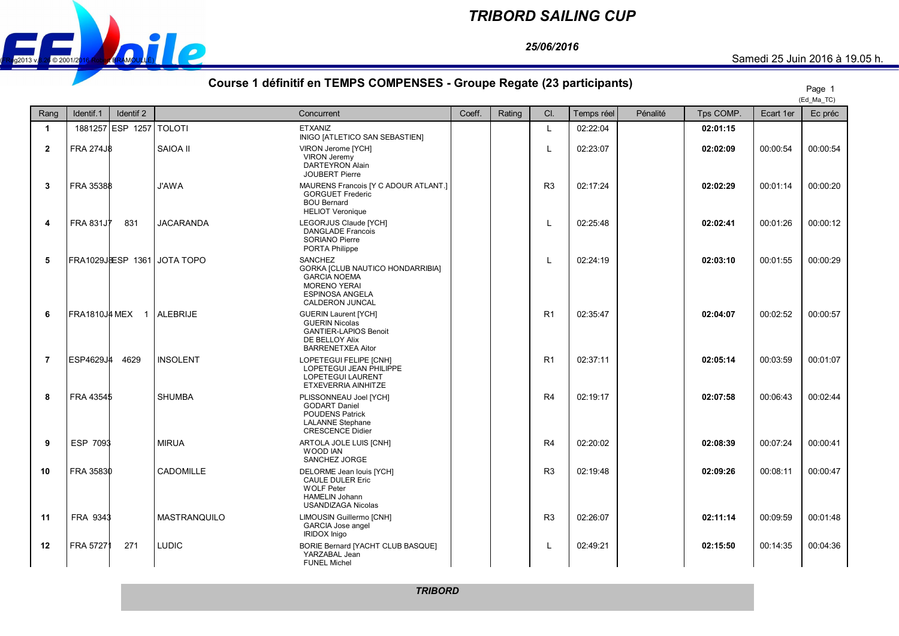

## *TRIBORD SAILING CUP*

*25/06/2016*

## **Course 1 définitif en TEMPS COMPENSES - Groupe Regate (23 participants)** Page 1

|                         |                             |                     |                                                                                                                                               |        |        |                |            |          |           |           | (Ed Ma TC) |
|-------------------------|-----------------------------|---------------------|-----------------------------------------------------------------------------------------------------------------------------------------------|--------|--------|----------------|------------|----------|-----------|-----------|------------|
| Rang                    | Identif.1<br>Identif 2      |                     | Concurrent                                                                                                                                    | Coeff. | Rating | CI.            | Temps réel | Pénalité | Tps COMP. | Ecart 1er | Ec préc    |
| $\blacktriangleleft$    | 1881257 ESP 1257            | <b>TOLOTI</b>       | <b>ETXANIZ</b><br>INIGO [ATLETICO SAN SEBASTIEN]                                                                                              |        |        | L              | 02:22:04   |          | 02:01:15  |           |            |
| $\mathbf{2}$            | <b>FRA 274J8</b>            | SAIOA II            | VIRON Jerome [YCH]<br>VIRON Jeremy<br><b>DARTEYRON Alain</b><br><b>JOUBERT Pierre</b>                                                         |        |        | L              | 02:23:07   |          | 02:02:09  | 00:00:54  | 00:00:54   |
| 3                       | FRA 35388                   | <b>J'AWA</b>        | MAURENS Francois [Y C ADOUR ATLANT.]<br><b>GORGUET Frederic</b><br><b>BOU Bernard</b><br><b>HELIOT Veronique</b>                              |        |        | R <sub>3</sub> | 02:17:24   |          | 02:02:29  | 00:01:14  | 00:00:20   |
| $\overline{\mathbf{4}}$ | <b>FRA 831JT</b><br>831     | <b>JACARANDA</b>    | LEGORJUS Claude [YCH]<br><b>DANGLADE Francois</b><br>SORIANO Pierre<br>PORTA Philippe                                                         |        |        | $\mathbf{I}$   | 02:25:48   |          | 02:02:41  | 00:01:26  | 00:00:12   |
| 5                       | FRA1029JBESP 1361 JOTA TOPO |                     | <b>SANCHEZ</b><br>GORKA [CLUB NAUTICO HONDARRIBIA]<br><b>GARCIA NOEMA</b><br><b>MORENO YERAI</b><br><b>ESPINOSA ANGELA</b><br>CALDERON JUNCAL |        |        | L              | 02:24:19   |          | 02:03:10  | 00:01:55  | 00:00:29   |
| 6                       | <b>FRA1810J# MEX 1</b>      | <b>ALEBRIJE</b>     | <b>GUERIN Laurent [YCH]</b><br><b>GUERIN Nicolas</b><br><b>GANTIER-LAPIOS Benoit</b><br>DE BELLOY Alix<br><b>BARRENETXEA Aitor</b>            |        |        | R <sub>1</sub> | 02:35:47   |          | 02:04:07  | 00:02:52  | 00:00:57   |
| $\overline{7}$          | ESP4629J4<br>4629           | <b>INSOLENT</b>     | LOPETEGUI FELIPE [CNH]<br>LOPETEGUI JEAN PHILIPPE<br><b>LOPETEGUI LAURENT</b><br>ETXEVERRIA AINHITZE                                          |        |        | R <sub>1</sub> | 02:37:11   |          | 02:05:14  | 00:03:59  | 00:01:07   |
| 8                       | FRA 43545                   | <b>SHUMBA</b>       | PLISSONNEAU Joel [YCH]<br><b>GODART Daniel</b><br><b>POUDENS Patrick</b><br><b>LALANNE Stephane</b><br><b>CRESCENCE Didier</b>                |        |        | R4             | 02:19:17   |          | 02:07:58  | 00:06:43  | 00:02:44   |
| 9                       | ESP 7093                    | <b>MIRUA</b>        | ARTOLA JOLE LUIS [CNH]<br>WOOD IAN<br>SANCHEZ JORGE                                                                                           |        |        | R4             | 02:20:02   |          | 02:08:39  | 00:07:24  | 00:00:41   |
| 10                      | FRA 35830                   | CADOMILLE           | DELORME Jean louis [YCH]<br><b>CAULE DULER Eric</b><br><b>WOLF Peter</b><br><b>HAMELIN Johann</b><br><b>USANDIZAGA Nicolas</b>                |        |        | R <sub>3</sub> | 02:19:48   |          | 02:09:26  | 00:08:11  | 00:00:47   |
| 11                      | FRA 9343                    | <b>MASTRANQUILO</b> | LIMOUSIN Guillermo [CNH]<br><b>GARCIA Jose angel</b><br><b>IRIDOX</b> Inigo                                                                   |        |        | R <sub>3</sub> | 02:26:07   |          | 02:11:14  | 00:09:59  | 00:01:48   |
| 12                      | 271<br>FRA 57271            | <b>LUDIC</b>        | BORIE Bernard [YACHT CLUB BASQUE]<br>YARZABAL Jean<br><b>FUNEL Michel</b>                                                                     |        |        | L              | 02:49:21   |          | 02:15:50  | 00:14:35  | 00:04:36   |

*TRIBORD*